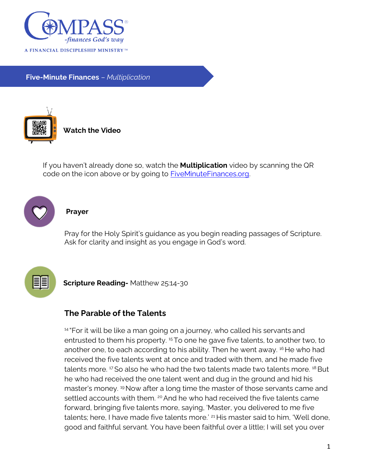

**Five-Minute Finances** – *Multiplication*



**Watch the Video**

If you haven't already done so, watch the **Multiplication** video by scanning the QR code on the icon above or by going to [FiveMinuteFinances.org.](http://www.fiveminutefinances.org/)



## **Prayer**

Pray for the Holy Spirit's guidance as you begin reading passages of Scripture. Ask for clarity and insight as you engage in God's word.



**Scripture Reading-** Matthew 25:14-30

## **The Parable of the Talents**

<sup>14</sup> "For it will be like a man going on a journey, who called his servants and entrusted to them his property.<sup>15</sup> To one he gave five talents, to another two, to another one, to each according to his ability. Then he went away. <sup>16</sup> He who had received the five talents went at once and traded with them, and he made five talents more. 17 So also he who had the two talents made two talents more. 18 But he who had received the one talent went and dug in the ground and hid his master's money. <sup>19</sup> Now after a long time the master of those servants came and settled accounts with them. <sup>20</sup> And he who had received the five talents came forward, bringing five talents more, saying, 'Master, you delivered to me five talents; here, I have made five talents more.' <sup>21</sup> His master said to him, 'Well done, good and faithful servant. You have been faithful over a little; I will set you over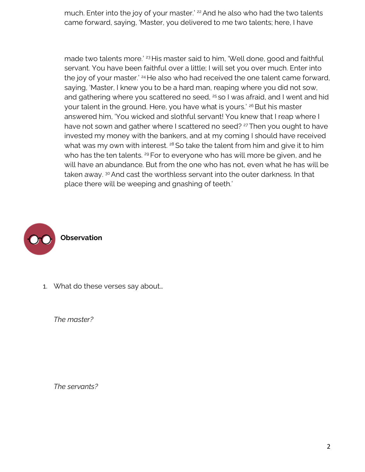much. Enter into the joy of your master.' <sup>22</sup> And he also who had the two talents came forward, saying, 'Master, you delivered to me two talents; here, I have

made two talents more.' <sup>23</sup> His master said to him, 'Well done, good and faithful servant. You have been faithful over a little; I will set you over much. Enter into the joy of your master.<sup>' 24</sup> He also who had received the one talent came forward, saying, 'Master, I knew you to be a hard man, reaping where you did not sow, and gathering where you scattered no seed, <sup>25</sup> so I was afraid, and I went and hid your talent in the ground. Here, you have what is yours.<sup>' 26</sup> But his master answered him, 'You wicked and slothful servant! You knew that I reap where I have not sown and gather where I scattered no seed? <sup>27</sup> Then you ought to have invested my money with the bankers, and at my coming I should have received what was my own with interest.  $28$  So take the talent from him and give it to him who has the ten talents. <sup>29</sup> For to everyone who has will more be given, and he will have an abundance. But from the one who has not, even what he has will be taken away. <sup>30</sup> And cast the worthless servant into the outer darkness. In that place there will be weeping and gnashing of teeth.'



1. What do these verses say about…

*The master?*

*The servants?*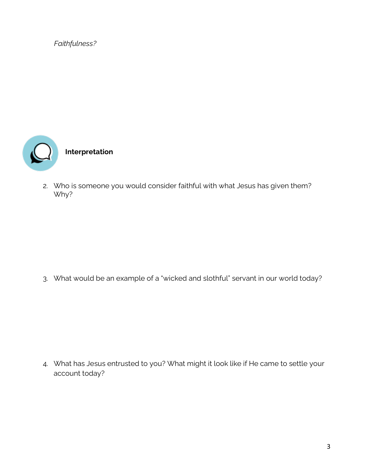*Faithfulness?* 



2. Who is someone you would consider faithful with what Jesus has given them? Why?

3. What would be an example of a "wicked and slothful" servant in our world today?

4. What has Jesus entrusted to you? What might it look like if He came to settle your account today?